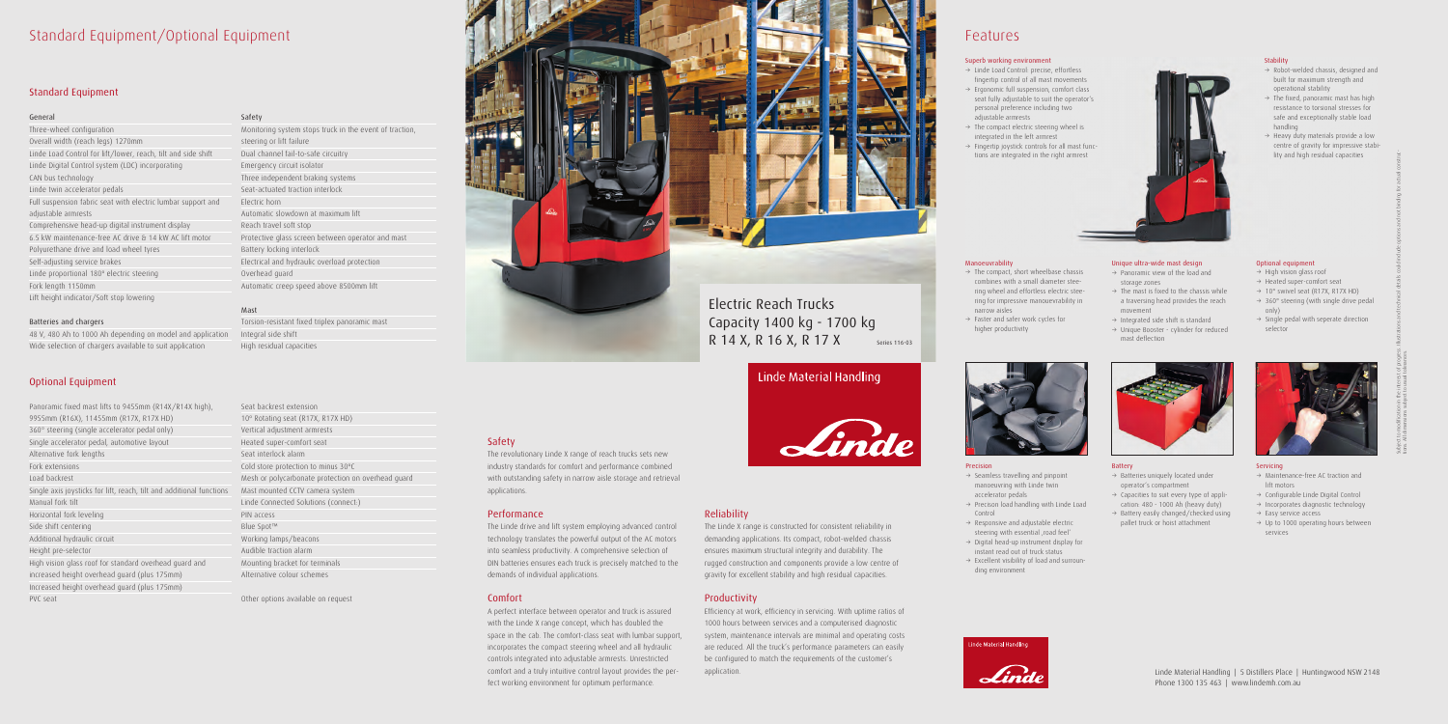### Standard Equipment/Optional Equipment

#### Standard Equipment

#### General

Three-wheel configuration Overall width (reach legs) 1270mm Linde Load Control for lift/lower, reach, tilt and side shift Linde Digital Control system (LDC) incorporating CAN bus technology Linde twin accelerator pedals Full suspension fabric seat with electric lumbar support and adjustable armrests Comprehensive head-up digital instrument display 6.5 kW maintenance-free AC drive & 14 kW AC lift motor Polyurethane drive and load wheel tyres Self-adjusting service brakes Linde proportional 180º electric steering Fork length 1150mm Lift height indicator/Soft stop lowering

#### Batteries and chargers

48 V, 480 Ah to 1000 Ah depending on model and application Wide selection of chargers available to suit application

#### Optional Equipment

Panoramic fixed mast lifts to 9455mm (R14X/R14X high), 9955mm (R16X), 11455mm (R17X, R17X HD) 360° steering (single accelerator pedal only) Single accelerator pedal, automotive layout Alternative fork lengths Fork extensions Load backrest Single axis joysticks for lift, reach, tilt and additional functions Mast mounted CCTV camera system Manual fork tilt Horizontal fork leveling Side shift centering Additional hydraulic circuit Height pre-selector High vision glass roof for standard overhead guard and increased height overhead guard (plus 175mm) Increased height overhead guard (plus 175mm) PVC seat

#### Safety

Monitoring system stops truck in the event of traction, steering or lift failure Dual channel fail-to-safe circuitry Emergency circuit isolator Three independent braking systems Seat-actuated traction interlock Electric horn Automatic slowdown at maximum lift Reach travel soft stop Protective glass screen between operator and mast Battery locking interlock Electrical and hydraulic overload protection Overhead guard Automatic creep speed above 8500mm lift

#### Mast

Torsion-resistant fixed triplex panoramic mast Integral side shift High residual capacities

Seat backrest extension 10º Rotating seat (R17X, R17X HD) Vertical adjustment armrests Heated super-comfort seat Seat interlock alarm Cold store protection to minus 30ºC Mesh or polycarbonate protection on overhead guard Linde Connected Solutions (connect:) PIN access Blue Spot™ Working lamps/beacons Audible traction alarm Mounting bracket for terminals Alternative colour schemes

- $\rightarrow$  Seamless travelling and pinpoint manoeuvring with Linde twin accelerator pedals
- $\rightarrow$  Precison load handling with Linde Load Control
- $\rightarrow$  Responsive and adjustable electric steering with essential .road feel'
- $\rightarrow$  Digital head-up instrument display for instant read out of truck status
- $\rightarrow$  Excellent visibility of load and surrounding environment



 $\rightarrow$  The compact, short wheelbase chassis combines with a small diameter steering wheel and effortless electric steering for impressive manouevrability in

 $\rightarrow$  Faster and safer work cycles for



Other options available on request



- $\rightarrow$  Batteries uniquely located under operator's compartment
- $\rightarrow$  Capacities to suit every type of application: 480 - 1000 Ah (heavy duty)
- $\rightarrow$  Battery easily changed/checked using pallet truck or hoist attachment



#### Safety

- $\rightarrow$  High vision glass roof
- $\rightarrow$  Heated super-comfort seat
- $\rightarrow$  10° swivel seat (R17X, R17X HD)
- $\rightarrow$  360° steering (with single drive pedal only)
- $\rightarrow$  Single pedal with seperate direction selector



The revolutionary Linde X range of reach trucks sets new industry standards for comfort and performance combined with outstanding safety in narrow aisle storage and retrieval applications.

- $\rightarrow$  Maintenance-free AC traction and lift motors
- $\rightarrow$  Configurable Linde Digital Control
- $\rightarrow$  Incorporates diagnostic technology
- $\rightarrow$  Easy service access
- $\rightarrow$  Up to 1000 operating hours between services



#### Performance

The Linde drive and lift system employing advanced control technology translates the powerful output of the AC motors into seamless productivity. A comprehensive selection of DIN batteries ensures each truck is precisely matched to the demands of individual applications.

- $\rightarrow$  Robot-welded chassis, designed and built for maximum strength and operational stability
- $\rightarrow$  The fixed, panoramic mast has high resistance to torsional stresses for safe and exceptionally stable load handling
- $\rightarrow$  Heavy duty materials provide a low centre of gravity for impressive stability and high residual capacities

Unique ultra-wide mast design  $\rightarrow$  Panoramic view of the load and

#### Comfort

 $\rightarrow$  The mast is fixed to the chassis while a traversing head provides the reach

 $\rightarrow$  Integrated side shift is standard  $\rightarrow$  Unique Booster - cylinder for reduced

A perfect interface between operator and truck is assured with the Linde X range concept, which has doubled the space in the cab. The comfort-class seat with lumbar support, incorporates the compact steering wheel and all hydraulic controls integrated into adjustable armrests. Unrestricted comfort and a truly intuitive control layout provides the perfect working environment for optimum performance.

- $\rightarrow$  Linde Load Control: precise, effortless fingertip control of all mast movements
- $\rightarrow$  Ergonomic full suspension, comfort class seat fully adjustable to suit the operator's personal preference including two adjustable armrests
- $\rightarrow$  The compact electric steering wheel is integrated in the left armrest
- $\rightarrow$  Fingertip joystick controls for all mast functions are integrated in the right armrest

# Capacity 1400 kg - 1700 kg R 14 X, R 16 X, R 17 X Series 116-03

Linde Material Handling



#### Reliability

The Linde X range is constructed for consistent reliability in demanding applications. Its compact, robot-welded chassis ensures maximum structural integrity and durability. The rugged construction and components provide a low centre of gravity for excellent stability and high residual capacities.

#### Productivity

Efficiency at work, efficiency in servicing. With uptime ratios of 1000 hours between services and a computerised diagnostic system, maintenance intervals are minimal and operating costs are reduced. All the truck's performance parameters can easily be configured to match the requirements of the customer's application.



## Features

#### Precision

Manoeuvrability

narrow aisles

higher productivity

#### Battery

#### Optional equipment

#### Servicing

#### Stability

storage zones

movement

mast deflection

#### Superb working environment

# Electric Reach Trucks